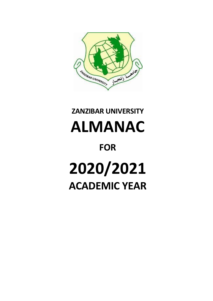

# **ZANZIBAR UNIVERSITY ALMANAC FOR 2020/2021 ACADEMIC YEAR**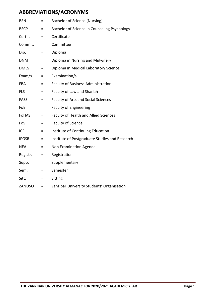# **ABBREVIATIONS/ACRONYMS**

| <b>BSN</b>   | Ξ        | Bachelor of Science (Nursing)                  |
|--------------|----------|------------------------------------------------|
| <b>BSCP</b>  | Ξ        | Bachelor of Science in Counseling Psychology   |
| Certif.      | Ξ        | Certificate                                    |
| Commit.      | $\equiv$ | Committee                                      |
| Dip.         | Ξ        | Diploma                                        |
| <b>DNM</b>   | $=$      | Diploma in Nursing and Midwifery               |
| <b>DMLS</b>  | $\equiv$ | Diploma in Medical Laboratory Science          |
| Exam/s.      | $\equiv$ | Examination/s                                  |
| <b>FBA</b>   | $=$      | <b>Faculty of Business Administration</b>      |
| <b>FLS</b>   | $=$      | Faculty of Law and Shariah                     |
| <b>FASS</b>  | Ξ        | <b>Faculty of Arts and Social Sciences</b>     |
| FoE          | $=$      | <b>Faculty of Engineering</b>                  |
| <b>FoHAS</b> | $\equiv$ | <b>Faculty of Health and Allied Sciences</b>   |
| FoS          | Ξ        | <b>Faculty of Science</b>                      |
| <b>ICE</b>   | Ξ        | Institute of Continuing Education              |
| <b>IPGSR</b> | Ξ        | Institute of Postgraduate Studies and Research |
| <b>NEA</b>   | $=$      | Non Examination Agenda                         |
| Registr.     | $=$      | Registration                                   |
| Supp.        | $\equiv$ | Supplementary                                  |
| Sem.         | Ξ        | Semester                                       |
| Sitt.        | $\equiv$ | Sitting                                        |
| ZANUSO       | $=$      | Zanzibar University Students' Organisation     |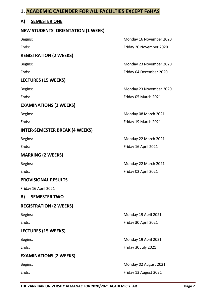# **1. ACADEMIC CALENDER FOR ALL FACULTIES EXCEPT FoHAS**

# **A) SEMESTER ONE**

#### **NEW STUDENTS' ORIENTATION (1 WEEK)**

# **REGISTRATION (2 WEEKS)**

# **LECTURES (15 WEEKS)**

# **EXAMINATIONS (2 WEEKS)**

# **INTER-SEMESTER BREAK (4 WEEKS)**

# **MARKING (2 WEEKS)**

#### **PROVISIONAL RESULTS**

Friday 16 April 2021

# **B) SEMESTER TWO**

#### **REGISTRATION (2 WEEKS)**

#### **LECTURES (15 WEEKS)**

# **EXAMINATIONS (2 WEEKS)**

Begins: Monday 16 November 2020 Ends: Friday 20 November 2020

Begins: Monday 23 November 2020 Ends: Friday 04 December 2020

Begins: Begins: Begins: Exercise of the United States of Monday 23 November 2020 Ends: Friday 05 March 2021

Begins: Monday 08 March 2021 Ends: Friday 19 March 2021

Begins: Begins: **Monday 22 March 2021** Ends: Friday 16 April 2021

Begins: **Monday 22 March 2021** Ends: Friday 02 April 2021

Begins: Monday 19 April 2021 Ends: Friday 30 April 2021

Begins: **Monday 19 April 2021** Ends: Friday 30 July 2021

Begins: **Monday 02 August 2021** Ends: Friday 13 August 2021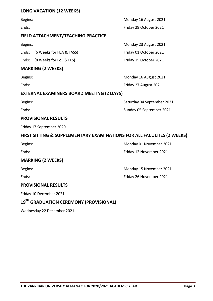#### **LONG VACATION (12 WEEKS)**

#### **FIELD ATTACHMENT/TEACHING PRACTICE**

Ends: (6 Weeks for FBA & FASS) Friday 01 October 2021

Ends: (8 Weeks for FoE & FLS) Friday 15 October 2021

#### **MARKING (2 WEEKS)**

#### **EXTERNAL EXAMINERS BOARD MEETING (2 DAYS)**

#### **PROVISIONAL RESULTS**

Friday 17 September 2020

# **FIRST SITTING & SUPPLEMENTARY EXAMINATIONS FOR ALL FACULTIES (2 WEEKS)**

| Begins |
|--------|
|--------|

# **MARKING (2 WEEKS)**

# **PROVISIONAL RESULTS**

Friday 10 December 2021

# **19 TH GRADUATION CEREMONY (PROVISIONAL)**

Wednesday 22 December 2021

Begins: Monday 16 August 2021 Ends: Friday 29 October 2021

Begins: Begins: **Monday 23 August 2021** 

Begins: Monday 16 August 2021 Ends: Ends: Ends: Friday 27 August 2021

Begins: Saturday 04 September 2021 Ends: Sunday 05 September 2021

Monday 01 November 2021

Ends: Friday 12 November 2021

Begins: Begins: Electronic Monday 15 November 2021

Ends: Friday 26 November 2021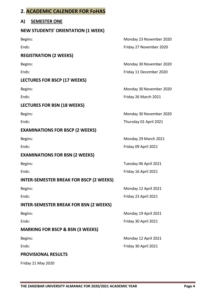# **2. ACADEMIC CALENDER FOR FoHAS**

# **A) SEMESTER ONE**

#### **NEW STUDENTS' ORIENTATION (1 WEEK)**

#### **REGISTRATION (2 WEEKS)**

# **LECTURES FOR BSCP (17 WEEKS)**

# **LECTURES FOR BSN (18 WEEKS)**

# **EXAMINATIONS FOR BSCP (2 WEEKS)**

# **EXAMINATIONS FOR BSN (2 WEEKS)**

# **INTER-SEMESTER BREAK FOR BSCP (2 WEEKS)**

# **INTER-SEMESTER BREAK FOR BSN (2 WEEKS)**

# **MARKING FOR BSCP & BSN (3 WEEKS)**

# **PROVISIONAL RESULTS**

Friday 21 May 2020

Begins: Monday 23 November 2020 Ends: Friday 27 November 2020

Begins: Monday 30 November 2020 Ends: Friday 11 December 2020

Begins: Begins: Exercísion Company 2020 Monday 30 November 2020 Ends: Friday 26 March 2021

Begins: Begins: Exercísion Company 2020 Monday 30 November 2020 Ends: Thursday 01 April 2021

Begins: Begins: **Monday 29 March 2021** Ends: Friday 09 April 2021

Begins: Tuesday 06 April 2021 Ends: Friday 16 April 2021

Begins: **Monday 12 April 2021** Ends: Friday 23 April 2021

Begins: Monday 19 April 2021 Ends: Friday 30 April 2021

Begins: **Monday 12 April 2021** Ends: Friday 30 April 2021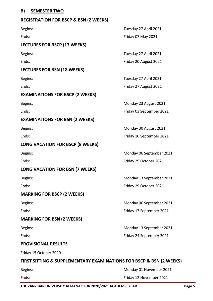#### **B) SEMESTER TWO**

#### **REGISTRATION FOR BSCP & BSN (2 WEEKS)**

Begins: Tuesday 27 April 2021 Ends: Friday 07 May 2021 **LECTURES FOR BSCP (17 WEEKS)** Begins: Tuesday 27 April 2021 Ends: Ends: Ends: Ends: Ends: Ends: Ends: Ends: Ends: Ends: Ends: Ends: Ends: Ends: Ends: Ends: Ends: Ends: Ends: Ends: Ends: Ends: Ends: Ends: Ends: Ends: Ends: Ends: Ends: Ends: Ends: Ends: Ends: Ends: Ends: Ends: Ends: **LECTURES FOR BSN (18 WEEKS)** Begins: Tuesday 27 April 2021 Ends: Friday 27 August 2021 **EXAMINATIONS FOR BSCP (2 WEEKS)** Begins: Begins: **Monday 23 August 2021** Ends: Friday 03 September 2021 **EXAMINATIONS FOR BSN (2 WEEKS)** Begins: **Monday 30 August 2021** Ends: Friday 10 September 2021 **LONG VACATION FOR BSCP (8 WEEKS)** Begins: Begins: Electronic Contract Contract Contract Contract Contract Contract Contract Contract Contract Contract Contract Contract Contract Contract Contract Contract Contract Contract Contract Contract Contract Contra Ends: Friday 29 October 2021 **LONG VACATION FOR BSN (7 WEEKS)** Begins: Monday 13 September 2021 Ends: Friday 29 October 2021 **MARKING FOR BSCP (2 WEEKS)** Begins: Begins: Electronic Monday 06 September 2021 Ends: Friday 17 September 2021 **MARKING FOR BSN (2 WEEKS)** Begins: Monday 13 September 2021 Ends: Friday 24 September 2021 **PROVISIONAL RESULTS**

Friday 15 October 2020

#### **FIRST SITTING & SUPPLEMENTARY EXAMINATIONS FOR BSCP & BSN (2 WEEKS)**

| Begins: | Monday 01 November 2021 |
|---------|-------------------------|
| Ends:   | Friday 12 November 2021 |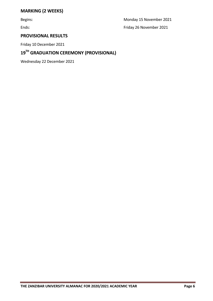# **MARKING (2 WEEKS)**

Begins: Monday 15 November 2021 Ends: Friday 26 November 2021

# **PROVISIONAL RESULTS**

Friday 10 December 2021

# **19TH GRADUATION CEREMONY (PROVISIONAL)**

Wednesday 22 December 2021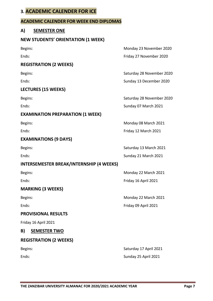# **3. ACADEMIC CALENDER FOR ICE**

#### **ACADEMIC CALENDER FOR WEEK END DIPLOMAS**

#### **A) SEMESTER ONE**

#### **NEW STUDENTS' ORIENTATION (1 WEEK)**

#### **REGISTRATION (2 WEEKS)**

#### **LECTURES (15 WEEKS)**

#### **EXAMINATION PREPARATION (1 WEEK)**

#### **EXAMINATIONS (9 DAYS)**

# **INTERSEMESTER BREAK/INTERNSHIP (4 WEEKS)**

# **MARKING (3 WEEKS)**

#### **PROVISIONAL RESULTS**

Friday 16 April 2021

#### **B) SEMESTER TWO**

#### **REGISTRATION (2 WEEKS)**

Begins: Begins: Exercísion Company 23 November 2020 Ends: Friday 27 November 2020

Begins: Saturday 28 November 2020 Ends: Sunday 13 December 2020

Begins: Saturday 28 November 2020 Ends: Sunday 07 March 2021

Begins: Begins: **Monday 08 March 2021** Ends: Friday 12 March 2021

Begins: Saturday 13 March 2021 Ends: Sunday 21 March 2021

Begins: Begins: **Monday 22 March 2021** Ends: Friday 16 April 2021

Begins: Monday 22 March 2021 Ends: Friday 09 April 2021

Begins: Saturday 17 April 2021 Ends: Sunday 25 April 2021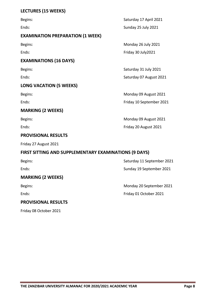# **LECTURES (15 WEEKS)**

| Begins:                                 | Saturday 17 April 2021   |
|-----------------------------------------|--------------------------|
| Ends:                                   | Sunday 25 July 2021      |
| <b>EXAMINATION PREPARATION (1 WEEK)</b> |                          |
| Begins:                                 | Monday 26 July 2021      |
| Ends:                                   | Friday 30 July 2021      |
| <b>EXAMINATIONS (16 DAYS)</b>           |                          |
| Begins:                                 | Saturday 31 July 2021    |
| Ends:                                   | Saturday 07 August 2021  |
| <b>LONG VACATION (5 WEEKS)</b>          |                          |
| Begins:                                 | Monday 09 August 2021    |
| Ends:                                   | Friday 10 September 2021 |
| <b>MARKING (2 WEEKS)</b>                |                          |
| Begins:                                 | Monday 09 August 2021    |
| Ends:                                   | Friday 20 August 2021    |
| <b>PROVISIONAL RESULTS</b>              |                          |

Friday 27 August 2021

Friday 08 October 2021

# **FIRST SITTING AND SUPPLEMENTARY EXAMINATIONS (9 DAYS)**

| Begins:                    | Saturday 11 September 2021 |
|----------------------------|----------------------------|
| Ends:                      | Sunday 19 September 2021   |
| <b>MARKING (2 WEEKS)</b>   |                            |
| Begins:                    | Monday 20 September 2021   |
| Ends:                      | Friday 01 October 2021     |
| <b>PROVISIONAL RESULTS</b> |                            |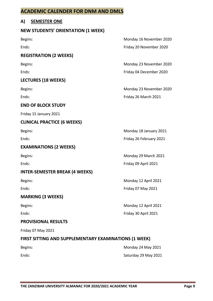# **ACADEMIC CALENDER FOR DNM AND DMLS**

# **A) SEMESTER ONE**

#### **NEW STUDENTS' ORIENTATION (1 WEEK)**

# **REGISTRATION (2 WEEKS)**

# **LECTURES (18 WEEKS)**

#### **END OF BLOCK STUDY**

Friday 15 January 2021

#### **CLINICAL PRACTICE (6 WEEKS)**

#### **EXAMINATIONS (2 WEEKS)**

#### **INTER-SEMESTER BREAK (4 WEEKS)**

# **MARKING (3 WEEKS)**

#### **PROVISIONAL RESULTS**

Friday 07 May 2021

# **FIRST SITTING AND SUPPLEMENTARY EXAMINATIONS (1 WEEK)**

Begins: Monday 16 November 2020 Ends: Friday 20 November 2020

Begins: Monday 23 November 2020 Ends: Friday 04 December 2020

Begins: Monday 23 November 2020 Ends: Friday 26 March 2021

Begins: Monday 18 January 2021

Ends: Friday 26 February 2021

Begins: Begins: **Monday 29 March 2021** Ends: Friday 09 April 2021

Begins: **Monday 12 April 2021** Ends: Friday 07 May 2021

Begins: Monday 12 April 2021 Ends: Friday 30 April 2021

Begins: Begins: Begins: Begins: Begins: Begins: Begins: Begins: Begins: Begins: Begins: Begins: Begins: Begins: Begins: Begins: Begins: Begins: Begins: Begins: Begins: Begins: Begins: Begins: Begins: Begins: Begins: Begins Ends: Saturday 29 May 2021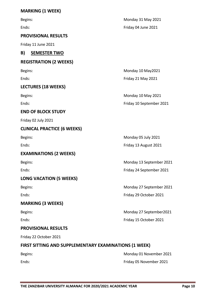# **MARKING (1 WEEK)**

| Begins:                                               | Monday 31 May 2021       |
|-------------------------------------------------------|--------------------------|
| Ends:                                                 | Friday 04 June 2021      |
| <b>PROVISIONAL RESULTS</b>                            |                          |
| Friday 11 June 2021                                   |                          |
| B)<br><b>SEMESTER TWO</b>                             |                          |
| <b>REGISTRATION (2 WEEKS)</b>                         |                          |
| Begins:                                               | Monday 10 May2021        |
| Ends:                                                 | Friday 21 May 2021       |
| <b>LECTURES (18 WEEKS)</b>                            |                          |
| Begins:                                               | Monday 10 May 2021       |
| Ends:                                                 | Friday 10 September 2021 |
| <b>END OF BLOCK STUDY</b>                             |                          |
| Friday 02 July 2021                                   |                          |
| <b>CLINICAL PRACTICE (6 WEEKS)</b>                    |                          |
| Begins:                                               | Monday 05 July 2021      |
| Ends:                                                 | Friday 13 August 2021    |
| <b>EXAMINATIONS (2 WEEKS)</b>                         |                          |
| Begins:                                               | Monday 13 September 2021 |
| Ends:                                                 | Friday 24 September 2021 |
| <b>LONG VACATION (5 WEEKS)</b>                        |                          |
| Begins:                                               | Monday 27 September 2021 |
| Ends:                                                 | Friday 29 October 2021   |
| <b>MARKING (3 WEEKS)</b>                              |                          |
| Begins:                                               | Monday 27 September 2021 |
| Ends:                                                 | Friday 15 October 2021   |
| <b>PROVISIONAL RESULTS</b>                            |                          |
| Friday 22 October 2021                                |                          |
| FIRST SITTING AND SUPPLEMENTARY EXAMINATIONS (1 WEEK) |                          |
|                                                       |                          |

Begins: Begins: Begins: Begins: Begins: Begins: Begins: Begins: Begins: Begins: Begins: Begins: Begins: Begins: Begins: Begins: Begins: Begins: Begins: Begins: Begins: Begins: Begins: Begins: Begins: Begins: Begins: Begins Ends: Friday 05 November 2021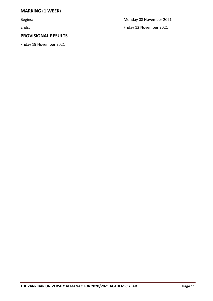# **MARKING (1 WEEK)**

# **PROVISIONAL RESULTS**

Friday 19 November 2021

Begins: Monday 08 November 2021 Ends: Friday 12 November 2021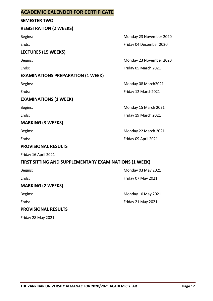# **ACADEMIC CALENDER FOR CERTIFICATE**

#### **SEMESTER TWO**

#### **REGISTRATION (2 WEEKS)**

# **LECTURES (15 WEEKS)**

#### **EXAMINATIONS PREPARATION (1 WEEK)**

#### **EXAMINATIONS (1 WEEK)**

#### **MARKING (3 WEEKS)**

#### **PROVISIONAL RESULTS**

Friday 16 April 2021

# **FIRST SITTING AND SUPPLEMENTARY EXAMINATIONS (1 WEEK)**

#### **MARKING (2 WEEKS)**

# **PROVISIONAL RESULTS**

Friday 28 May 2021

Begins: Monday 23 November 2020 Ends: Friday 04 December 2020

Begins: Begins: Begins: Begins: Begins: Begins: Begins: Begins: Begins: Begins: Begins: Begins: Begins: Begins: Begins: Begins: Begins: Begins: Begins: Begins: Begins: Begins: Begins: Begins: Begins: Begins: Begins: Begins Ends: Ends: Ends: Ends: Ends: Ends: Ends: Ends: Ends: Ends: Ends: Ends: Ends: Ends: Ends: Ends: Ends: Ends: Ends: Ends: Ends: Ends: Ends: Ends: Ends: Ends: Ends: Ends: Ends: Ends: Ends: Ends: Ends: Ends: Ends: Ends: Ends:

Begins: Begins: **Monday 08 March2021** Ends: Ends: Ends: Friday 12 March2021

Begins: Begins: **Monday 15 March 2021** Ends: Friday 19 March 2021

Begins: Begins: Begins: Begins: Begins: Begins: Begins: Begins: Begins: Begins: Begins: Begins: Begins: Begins: Begins: Begins: Begins: Begins: Begins: Begins: Begins: Begins: Begins: Begins: Begins: Begins: Begins: Begins Ends: Friday 09 April 2021

Begins: Begins: **Monday 03 May 2021** Ends: Friday 07 May 2021

Begins: Begins: Begins: Begins: Begins: Begins: Begins: Begins: Begins: Begins: Begins: Begins: Begins: Begins: Begins: Begins: Begins: Begins: Begins: Begins: Begins: Begins: Begins: Begins: Begins: Begins: Begins: Begins Ends: Ends: Ends: Ends: Ends: Ends: Ends: Ends: Ends: Ends: Ends: Ends: Ends: Ends: Ends: Ends: Ends: Ends: Ends: Ends: Ends: Ends: Ends: Ends: Ends: Ends: Ends: Ends: Ends: Ends: Ends: Ends: Ends: Ends: Ends: Ends: Ends: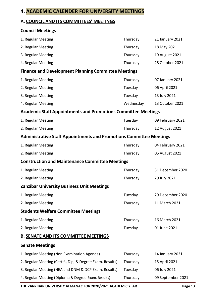# **4. ACADEMIC CALENDER FOR UNIVERSITY MEETINGS**

# **A. COUNCIL AND ITS COMMITTEES' MEETINGS**

| <b>Council Meetings</b>                                                    |           |                   |
|----------------------------------------------------------------------------|-----------|-------------------|
| 1. Regular Meeting                                                         | Thursday  | 21 January 2021   |
| 2. Regular Meeting                                                         | Thursday  | 18 May 2021       |
| 3. Regular Meeting                                                         | Thursday  | 19 August 2021    |
| 4. Regular Meeting                                                         | Thursday  | 28 October 2021   |
| <b>Finance and Development Planning Committee Meetings</b>                 |           |                   |
| 1. Regular Meeting                                                         | Thursday  | 07 January 2021   |
| 2. Regular Meeting                                                         | Tuesday   | 06 April 2021     |
| 3. Regular Meeting                                                         | Tuesday   | 13 July 2021      |
| 4. Regular Meeting                                                         | Wednesday | 13 October 2021   |
| <b>Academic Staff Appointments and Promotions Committee Meetings</b>       |           |                   |
| 1. Regular Meeting                                                         | Tuesday   | 09 February 2021  |
| 2. Regular Meeting                                                         | Thursday  | 12 August 2021    |
| <b>Administrative Staff Appointments and Promotions Committee Meetings</b> |           |                   |
| 1. Regular Meeting                                                         | Thursday  | 04 February 2021  |
| 2. Regular Meeting                                                         | Thursday  | 05 August 2021    |
| <b>Construction and Maintenance Committee Meetings</b>                     |           |                   |
| 1. Regular Meeting                                                         | Thursday  | 31 December 2020  |
| 2. Regular Meeting                                                         | Thursday  | 29 July 2021      |
| <b>Zanzibar University Business Unit Meetings</b>                          |           |                   |
| 1. Regular Meeting                                                         | Tuesday   | 29 December 2020  |
| 2. Regular Meeting                                                         | Thursday  | 11 March 2021     |
| <b>Students Welfare Committee Meetings</b>                                 |           |                   |
| 1. Regular Meeting                                                         | Thursday  | 16 March 2021     |
| 2. Regular Meeting                                                         | Tuesday   | 01 June 2021      |
| <b>B. SENATE AND ITS COMMITTEE MEETINGS</b>                                |           |                   |
| <b>Senate Meetings</b>                                                     |           |                   |
| 1. Regular Meeting (Non Examination Agenda)                                | Thursday  | 14 January 2021   |
| 2. Regular Meeting (Certif., Dip, & Degree Exam. Results)                  | Thursday  | 15 April 2021     |
| 3. Regular Meeting (NEA and DNM & DCP Exam. Results)                       | Tuesday   | 06 July 2021      |
| 4. Regular Meeting (Diploma & Degree Exam. Results)                        | Thursday  | 09 September 2021 |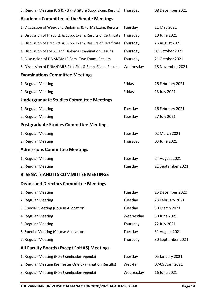| 5. Regular Meeting (UG & PG First Sitt. & Supp. Exam. Results) Thursday |           | 08 December 2021  |
|-------------------------------------------------------------------------|-----------|-------------------|
| <b>Academic Committee of the Senate Meetings</b>                        |           |                   |
| 1. Discussion of Week End Diplomas & FoHAS Exam. Results                | Tuesday   | 11 May 2021       |
| 2. Discussion of First Sitt. & Supp. Exam. Results of Certificate       | Thursday  | 10 June 2021      |
| 3. Discussion of First Sitt. & Supp. Exam. Results of Certificate       | Thursday  | 26 August 2021    |
| 4. Discussion of FoHAS and Diploma Examination Results                  | Thursday  | 07 October 2021   |
| 5. Discussion of DNM/DMLS Sem. Two Exam. Results                        | Thursday  | 21 October 2021   |
| 6. Discussion of DNM/DMLS First Sitt. & Supp. Exam. Results             | Wednesday | 18 November 2021  |
| <b>Examinations Committee Meetings</b>                                  |           |                   |
| 1. Regular Meeting                                                      | Friday    | 26 February 2021  |
| 2. Regular Meeting                                                      | Friday    | 23 July 2021      |
| <b>Undergraduate Studies Committee Meetings</b>                         |           |                   |
| 1. Regular Meeting                                                      | Tuesday   | 16 February 2021  |
| 2. Regular Meeting                                                      | Tuesday   | 27 July 2021      |
| <b>Postgraduate Studies Committee Meetings</b>                          |           |                   |
| 1. Regular Meeting                                                      | Tuesday   | 02 March 2021     |
| 2. Regular Meeting                                                      | Thursday  | 03 June 2021      |
| <b>Admissions Committee Meetings</b>                                    |           |                   |
| 1. Regular Meeting                                                      | Tuesday   | 24 August 2021    |
| 2. Regular Meeting                                                      | Tuesday   | 21 September 2021 |
| <b>B. SENATE AND ITS COMMITTEE MEETINGS</b>                             |           |                   |
| <b>Deans and Directors Committee Meetings</b>                           |           |                   |
| 1. Regular Meeting                                                      | Tuesday   | 15 December 2020  |
| 2. Regular Meeting                                                      | Tuesday   | 23 February 2021  |
| 3. Special Meeting (Course Allocation)                                  | Tuesday   | 30 March 2021     |
| 4. Regular Meeting                                                      | Wednesday | 30 June 2021      |
| 5. Regular Meeting                                                      | Thursday  | 22 July 2021      |
| 6. Special Meeting (Course Allocation)                                  | Tuesday   | 31 August 2021    |
| 7. Regular Meeting                                                      | Thursday  | 30 September 2021 |
| All Faculty Boards (Except FoHAS) Meetings                              |           |                   |
| 1. Regular Meeting (Non Examination Agenda)                             | Tuesday   | 05 January 2021   |
| 2. Regular Meeting (Semester One Examination Results)                   | Wed-Fri   | 07-09 April 2021  |
| 3. Regular Meeting (Non Examination Agenda)                             | Wednesday | 16 June 2021      |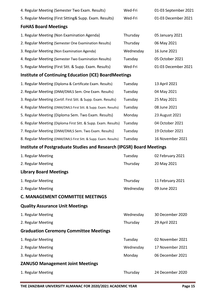| 4. Regular Meeting (Semester Two Exam. Results)                       | Wed-Fri   | 01-03 September 2021 |
|-----------------------------------------------------------------------|-----------|----------------------|
| 5. Regular Meeting (First Sitting& Supp. Exam. Results)               | Wed-Fri   | 01-03 December 2021  |
| <b>FoHAS Board Meetings</b>                                           |           |                      |
| 1. Regular Meeting (Non Examination Agenda)                           | Thursday  | 05 January 2021      |
| 2. Regular Meeting (Semester One Examination Results)                 | Thursday  | 06 May 2021          |
| 3. Regular Meeting (Non Examination Agenda)                           | Wednesday | 16 June 2021         |
| 4. Regular Meeting (Semester Two Examination Results)                 | Tuesday   | 05 October 2021      |
| 5. Regular Meeting (First Sitt. & Supp. Exam. Results)                | Wed-Fri   | 01-03 December 2021  |
| <b>Institute of Continuing Education (ICE) BoardMeetings</b>          |           |                      |
| 1. Regular Meeting (Diploma & Certificate Exam. Results)              | Tuesday   | 13 April 2021        |
| 2. Regular Meeting (DNM/DMLS Sem. One Exam. Results)                  | Tuesday   | 04 May 2021          |
| 3. Regular Meeting (Certif. First Sitt. & Supp. Exam. Results)        | Tuesday   | 25 May 2021          |
| 4. Regular Meeting (DNM/DMLS First Sitt. & Supp. Exam. Results)       | Tuesday   | 08 June 2021         |
| 5. Regular Meeting (Diploma Sem. Two Exam. Results)                   | Monday    | 23 August 2021       |
| 6. Regular Meeting (Diploma First Sitt. & Supp. Exam. Results)        | Tuesday   | 04 October 2021      |
| 7. Regular Meeting (DNM/DMLS Sem. Two Exam. Results)                  | Tuesday   | 19 October 2021      |
| 8. Regular Meeting (DNM/DMLS First Sitt. & Supp. Exam. Results)       | Tuesday   | 16 November 2021     |
|                                                                       |           |                      |
| Institute of Postgraduate Studies and Research (IPGSR) Board Meetings |           |                      |
| 1. Regular Meeting                                                    | Tuesday   | 02 February 2021     |
| 2. Regular Meeting                                                    | Thursday  | 20 May 2021          |
| <b>Library Board Meetings</b>                                         |           |                      |
| 1. Regular Meeting                                                    | Thursday  | 11 February 2021     |
| 2. Regular Meeting                                                    | Wednesday | 09 June 2021         |
| <b>C. MANAGEMENT COMMITTEE MEETINGS</b>                               |           |                      |
| <b>Quality Assurance Unit Meetings</b>                                |           |                      |
| 1. Regular Meeting                                                    | Wednesday | 30 December 2020     |
| 2. Regular Meeting                                                    | Thursday  | 29 April 2021        |
| <b>Graduation Ceremony Committee Meetings</b>                         |           |                      |
| 1. Regular Meeting                                                    | Tuesday   | 02 November 2021     |
| 2. Regular Meeting                                                    | Wednesday | 17 November 2021     |
| 3. Regular Meeting                                                    | Monday    | 06 December 2021     |
| <b>ZANUSO Management Joint Meetings</b>                               |           |                      |
| 1. Regular Meeting                                                    | Thursday  | 24 December 2020     |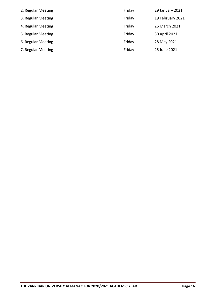| 2. Regular Meeting | Friday | 29 January 2021  |
|--------------------|--------|------------------|
| 3. Regular Meeting | Friday | 19 February 2021 |
| 4. Regular Meeting | Friday | 26 March 2021    |
| 5. Regular Meeting | Friday | 30 April 2021    |
| 6. Regular Meeting | Friday | 28 May 2021      |
| 7. Regular Meeting | Friday | 25 June 2021     |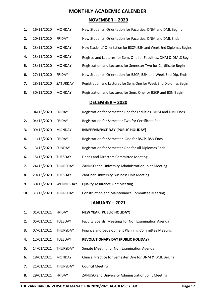# **MONTHLY ACADEMIC CALENDER**

#### **NOVEMBER – 2020**

| 1. | 16/11/2020 | <b>MONDAY</b>   | New Students' Orientation for Faculties, DNM and DML Begins          |
|----|------------|-----------------|----------------------------------------------------------------------|
| 2. | 20/11/2020 | <b>FRIDAY</b>   | New Students' Orientation for Faculties, DNM and DML Ends            |
| З. | 23/11/2020 | <b>MONDAY</b>   | New Students' Orientation for BSCP, BSN and Week End Diplomas Begins |
| 4. | 23/11/2020 | <b>MONDAY</b>   | Registr. and Lectures for Sem. One for Faculties, DNM & DMLS Begin   |
| 5. | 23/11/2020 | <b>MONDAY</b>   | Registration and Lectures for Semester Two for Certificate Begin     |
| 6. | 27/11/2020 | <b>FRIDAY</b>   | New Students' Orientation for BSCP, BSN and Week End Dip. Ends       |
| 7. | 28/11/2020 | <b>SATURDAY</b> | Registration and Lectures for Sem. One for Week End Diplomas Begin   |
| 8. | 30/11/2020 | <b>MONDAY</b>   | Registration and Lectures for Sem. One for BSCP and BSN Begin        |

#### **DECEMBER – 2020**

- **1.** 04/12/2020 FRIDAY Registration for Semester One for Faculties, DNM and DML Ends
- **2.** 04/12/2020 FRIDAY Registration for Semester Two for Certificate Ends
- **3.** 09/12/2020 MONDAY **INDEPENDENCE DAY (PUBLIC HOLIDAY)**
- **4.** 11/12/2020 FRIDAY Registration for Semester One for BSCP, BSN Ends
- **5.** 13/12/2020 SUNDAY Registration for Semester One for All Diplomas Ends
- **6.** 15/12/2020 TUESDAY Deans and Directors Committee Meeting
- **7.** 24/12/2020 THURSDAY ZANUSO and University Administration Joint Meeting
- **8.** 29/12/2020 TUESDAY Zanzibar University Business Unit Meeting
- **9.** 30/12/2020 WEDNESDAY Quality Assurance Unit Meeting
- **10.** 31/12/2020 THURSDAY Construction and Maintenance Committee Meeting

#### **JANUARY – 2021**

- **1.** 01/01/2021 FRIDAY **NEW YEAR (PUBLIC HOLIDAY)**
- **2.** 05/01/2021 TUESDAY Faculty Boards' Meetings for Non Examination Agenda
- **3.** 07/01/2021 THURSDAY Finance and Development Planning Committee Meeting
- **4.** 12/01/2021 TUESDAY **REVOLUTIONARY DAY (PUBLIC HOLIDAY)**
- **5.** 14/01/2021 THURSDAY Senate Meeting for Non Examination Agenda
- **6.** 18/01/2021 MONDAY Clinical Practice for Semester One for DNM & DML Begins
- **7.** 21/01/2021 THURSDAY Council Meeting
- **8.** 29/01/2021 FRIDAY ZANUSO and University Administration Joint Meeting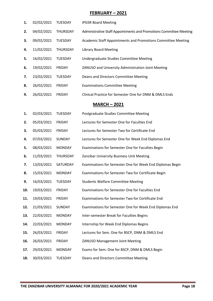#### **FEBRUARY – 2021**

| 1. | 02/02/2021 | <b>TUESDAY</b>  | <b>IPGSR Board Meeting</b>                                         |
|----|------------|-----------------|--------------------------------------------------------------------|
| 2. | 04/02/2021 | <b>THURSDAY</b> | Administrative Staff Appointments and Promotions Committee Meeting |
| З. | 09/02/2021 | <b>TUESDAY</b>  | Academic Staff Appointments and Promotions Committee Meeting       |
| 4. | 11/02/2021 | <b>THURSDAY</b> | <b>Library Board Meeting</b>                                       |
| 5. | 16/02/2021 | <b>TUESDAY</b>  | Undergraduate Studies Committee Meeting                            |
| 6. | 19/02/2021 | <b>FRIDAY</b>   | ZANUSO and University Administration Joint Meeting                 |
| 7. | 23/02/2021 | <b>TUESDAY</b>  | Deans and Directors Committee Meeting                              |
| 8. | 26/02/2021 | <b>FRIDAY</b>   | <b>Examinations Committee Meeting</b>                              |
| 9. | 26/02/2021 | <b>FRIDAY</b>   | Clinical Practice for Semester One for DNM & DMLS Ends             |

# **MARCH – 2021**

| 1.  | 02/03/2021 | <b>TUESDAY</b> | Postgraduate Studies Committee Meeting                    |
|-----|------------|----------------|-----------------------------------------------------------|
| 2.  | 05/03/2021 | <b>FRIDAY</b>  | Lectures for Semester One for Faculties End               |
| 3.  | 05/03/2021 | <b>FRIDAY</b>  | Lectures for Semester Two for Certificate End             |
| 4.  | 07/03/2021 | SUNDAY         | Lectures for Semester One for Week End Diplomas End       |
| 5.  | 08/03/2021 | <b>MONDAY</b>  | Examinations for Semester One for Faculties Begin         |
| 6.  | 11/03/2021 | THURSDAY       | Zanzibar University Business Unit Meeting                 |
| 7.  | 13/03/2021 | SATURDAY       | Examinations for Semester One for Week End Diplomas Begin |
| 8.  | 15/03/2021 | <b>MONDAY</b>  | Examinations for Semester Two for Certificate Begin       |
| 9.  | 16/03/2021 | <b>TUESDAY</b> | <b>Students Welfare Committee Meeting</b>                 |
| 10. | 19/03/2021 | <b>FRIDAY</b>  | Examinations for Semester One for Faculties End           |
| 11. | 19/03/2021 | <b>FRIDAY</b>  | Examinations for Semester Two for Certificate End         |
| 12. | 21/03/2021 | SUNDAY         | Examinations for Semester One for Week End Diplomas End   |
| 13. | 22/03/2021 | <b>MONDAY</b>  | Inter-semester Break for Faculties Begins                 |
| 14. | 22/03/2021 | <b>MONDAY</b>  | Internship for Week End Diplomas Begins                   |
| 15. | 26/03/2021 | <b>FRIDAY</b>  | Lectures for Sem. One for BSCP, DNM & DMLS End            |
| 16. | 26/03/2021 | <b>FRIDAY</b>  | ZANUSO Management Joint Meeting                           |
| 17. | 29/03/2021 | <b>MONDAY</b>  | Exams for Sem. One for BSCP, DNM & DMLS Begin             |
| 18. | 30/03/2021 | <b>TUESDAY</b> | Deans and Directors Committee Meeting                     |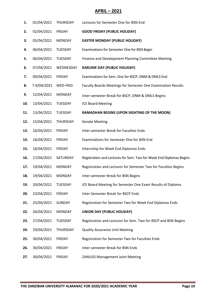# **APRIL – 2021**

| 1.  | 01/04/2021  | THURSDAY       | Lectures for Semester One for BSN End                               |
|-----|-------------|----------------|---------------------------------------------------------------------|
| 2.  | 02/04/2021  | <b>FRIDAY</b>  | <b>GOOD FRIDAY (PUBLIC HOLIDAY)</b>                                 |
| 3.  | 05/04/2021  | <b>MONDAY</b>  | <b>EASTER MONDAY (PUBLIC HOLIDAY)</b>                               |
| 4.  | 06/04/2021  | TUESDAY        | Examinations for Semester One for BSN Begin                         |
| 5.  | 06/04/2021  | TUESDAY        | Finance and Development Planning Committee Meeting                  |
| 6.  | 07/04/2021  | WEDNESDAY      | <b>KARUME DAY (PUBLIC HOLIDAY)</b>                                  |
| 7.  | 09/04/2021  | <b>FRIDAY</b>  | Examinations for Sem. One for BSCP, DNM & DMLS End                  |
| 8.  | 7-9/04/2021 | WED-FRID       | Faculty Boards Meetings for Semester One Examination Results        |
| 9.  | 12/04/2021  | <b>MONDAY</b>  | Inter-semester Break for BSCP, DNM & DMLS Begins                    |
| 10. | 13/04/2021  | <b>TUESDAY</b> | <b>ICE Board Meeting</b>                                            |
| 11. | 13/04/2021  | TUESDAY        | RAMADHAN BEGINS (UPON SIGHTING OF THE MOON)                         |
| 12. | 15/04/2021  | THURSDAY       | <b>Senate Meeting</b>                                               |
| 13. | 16/04/2021  | <b>FRIDAY</b>  | Inter-semester Break for Faculties Ends                             |
| 14. | 16/04/2021  | <b>FRIDAY</b>  | Examinations for Semester One for BSN End                           |
| 15. | 16/04/2021  | <b>FRIDAY</b>  | Internship for Week End Diplomas Ends                               |
| 16. | 17/04/2021  | SATURDAY       | Registration and Lectures for Sem. Two for Week End Diplomas Begins |
| 17. | 19/04/2021  | <b>MONDAY</b>  | Registration and Lectures for Semester Two for Faculties Begins     |
| 18. | 19/04/2021  | <b>MONDAY</b>  | Inter-semester Break for BSN Begins                                 |
| 19. | 20/04/2021  | <b>TUESDAY</b> | ICE Board Meeting for Semester One Exam Results of Diploma          |
| 20. | 23/04/2021  | FRIDAY         | Inter-Semester Break for BSCP Ends                                  |
| 21. | 25/04/2021  | SUNDAY         | Registration for Semester Two for Week End Diplomas Ends            |
| 22. | 26/04/2021  | <b>MONDAY</b>  | <b>UNION DAY (PUBLIC HOLIDAY)</b>                                   |
| 23. | 27/04/2021  | TUESDAY        | Registration and Lectures for Sem. Two for BSCP and BSN Begins      |
| 24. | 29/04/2021  | THURSDAY       | <b>Quality Assurance Unit Meeting</b>                               |
| 25. | 30/04/2021  | <b>FRIDAY</b>  | Registration for Semester Two for Faculties Ends                    |
| 26. | 30/04/2021  | <b>FRIDAY</b>  | Inter-semester Break for BSN Ends                                   |
| 27. | 30/04/2021  | FRIDAY         | ZANUSO Management Joint Meeting                                     |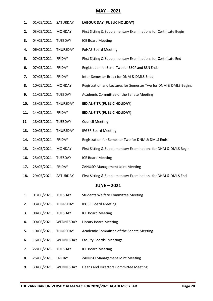# **MAY – 2021**

| 1.  | 01/05/2021 | SATURDAY       | <b>LABOUR DAY (PUBLIC HOLIDAY)</b>                               |
|-----|------------|----------------|------------------------------------------------------------------|
| 2.  | 03/05/2021 | <b>MONDAY</b>  | First Sitting & Supplementary Examinations for Certificate Begin |
| 3.  | 04/05/2021 | TUESDAY        | <b>ICE Board Meeting</b>                                         |
| 4.  | 06/05/2021 | THURSDAY       | <b>FoHAS Board Meeting</b>                                       |
| 5.  | 07/05/2021 | <b>FRIDAY</b>  | First Sitting & Supplementary Examinations for Certificate End   |
| 6.  | 07/05/2021 | <b>FRIDAY</b>  | Registration for Sem. Two for BSCP and BSN Ends                  |
| 7.  | 07/05/2021 | <b>FRIDAY</b>  | Inter-Semester Break for DNM & DMLS Ends                         |
| 8.  | 10/05/2021 | <b>MONDAY</b>  | Registration and Lectures for Semester Two for DNM & DMLS Begins |
| 9.  | 11/05/2021 | TUESDAY        | Academic Committee of the Senate Meeting                         |
| 10. | 13/05/2021 | THURSDAY       | EID AL-FITR (PUBLIC HOLIDAY)                                     |
| 11. | 14/05/2021 | <b>FRIDAY</b>  | EID AL-FITR (PUBLIC HOLIDAY)                                     |
| 12. | 18/05/2021 | TUESDAY        | <b>Council Meeting</b>                                           |
| 13. | 20/05/2021 | THURSDAY       | <b>IPGSR Board Meeting</b>                                       |
| 14. | 21/05/2021 | <b>FRIDAY</b>  | Registration for Semester Two for DNM & DMLS Ends                |
| 15. | 24/05/2021 | <b>MONDAY</b>  | First Sitting & Supplementary Examinations for DNM & DMLS Begin  |
| 16. | 25/05/2021 | TUESDAY        | <b>ICE Board Meeting</b>                                         |
| 17. | 28/05/2021 | <b>FRIDAY</b>  | <b>ZANUSO Management Joint Meeting</b>                           |
| 18. | 29/05/2021 | SATURDAY       | First Sitting & Supplementary Examinations for DNM & DMLS End    |
|     |            |                | <b>JUNE - 2021</b>                                               |
| 1.  | 01/06/2021 | <b>TUESDAY</b> | <b>Students Welfare Committee Meeting</b>                        |
| 2.  | 03/06/2021 | THURSDAY       | <b>IPGSR Board Meeting</b>                                       |
| 3.  | 08/06/2021 | <b>TUESDAY</b> | <b>ICE Board Meeting</b>                                         |
| 4.  | 09/06/2021 | WEDNESDAY      | <b>Library Board Meeting</b>                                     |
| 5.  | 10/06/2021 | THURSDAY       | Academic Committee of the Senate Meeting                         |
| 6.  | 16/06/2021 | WEDNESDAY      | <b>Faculty Boards' Meetings</b>                                  |
| 7.  | 22/06/2021 | <b>TUESDAY</b> | <b>ICE Board Meeting</b>                                         |
| 8.  | 25/06/2021 | <b>FRIDAY</b>  | ZANUSO Management Joint Meeting                                  |
| 9.  | 30/06/2021 | WEDNESDAY      | Deans and Directors Committee Meeting                            |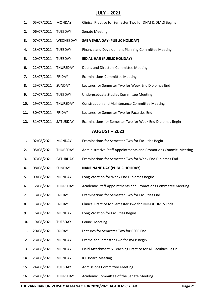#### **JULY – 2021**

- **1.** 05/07/2021 MONDAY Clinical Practice for Semester Two for DNM & DMLS Begins **2.** 06/07/2021 TUESDAY Senate Meeting **3.** 07/07/2021 WEDNESDAY **SABA SABA DAY (PUBLIC HOLIDAY) 4.** 13/07/2021 TUESDAY Finance and Development Planning Committee Meeting **5.** 20/07/2021 TUESDAY **EID AL-HAJJ (PUBLIC HOLIDAY) 6.** 22/07/2021 THURSDAY Deans and Directors Committee Meeting **7.** 23/07/2021 FRIDAY Examinations Committee Meeting **8.** 25/07/2021 SUNDAY Lectures for Semester Two for Week End Diplomas End **9.** 27/07/2021 TUESDAY Undergraduate Studies Committee Meeting **10.** 29/07/2021 THURSDAY Construction and Maintenance Committee Meeting **11.** 30/07/2021 FRIDAY Lectures for Semester Two for Faculties End **12.** 31/07/2021 SATURDAY Examinations for Semester Two for Week End Diplomas Begin **AUGUST – 2021 1.** 02/08/2021 MONDAY Examinations for Semester Two for Faculties Begin **2.** 05/08/2021 THURSDAY Administrative Staff Appointments and Promotions Commit. Meeting **3.** 07/08/2021 SATURDAY Examinations for Semester Two for Week End Diplomas End **4.** 08/08/2021 SUNDAY **NANE NANE DAY (PUBLIC HOLIDAY) 5.** 09/08/2021 MONDAY Long Vacation for Week End Diplomas Begins **6.** 12/08/2021 THURSDAY Academic Staff Appointments and Promotions Committee Meeting **7.** 13/08/2021 FRIDAY Examinations for Semester Two for Faculties End **8.** 13/08/2021 FRIDAY Clinical Practice for Semester Two for DNM & DMLS Ends **9.** 16/08/2021 MONDAY Long Vacation for Faculties Begins **10.** 19/08/2021 TUESDAY Council Meeting **11.** 20/08/2021 FRIDAY Lectures for Semester Two for BSCP End **12.** 23/08/2021 MONDAY Exams. for Semester Two for BSCP Begin **13.** 23/08/2021 MONDAY Field Attachment & Teaching Practice for All Faculties Begin
- **14.** 23/08/2021 MONDAY ICE Board Meeting
- **15.** 24/08/2021 TUESDAY Admissions Committee Meeting
- **16.** 26/08/2021 THURSDAY Academic Committee of the Senate Meeting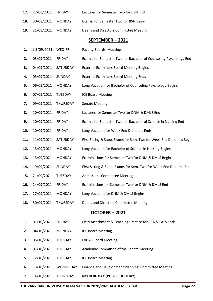| 17. | 27/08/2021  | <b>FRIDAY</b>  | Lectures for Semester Two for BSN End                                |
|-----|-------------|----------------|----------------------------------------------------------------------|
| 18. | 30/08/2021  | <b>MONDAY</b>  | Exams. for Semester Two for BSN Begin                                |
| 19. | 31/08/2021  | <b>MONDAY</b>  | Deans and Directors Committee Meeting                                |
|     |             |                | SEPTEMBER-2021                                                       |
| 1.  | 1-3/09/2021 | WED-FRI        | <b>Faculty Boards' Meetings</b>                                      |
| 2.  | 03/09/2021  | <b>FRIDAY</b>  | Exams. for Semester Two for Bachelor of Counseling Psychology End    |
| 3.  | 04/09/2021  | SATURDAY       | <b>External Examiners Board Meeting Begins</b>                       |
| 4.  | 05/09/2021  | SUNDAY         | <b>External Examiners Board Meeting Ends</b>                         |
| 5.  | 06/09/2021  | <b>MONDAY</b>  | Long Vacation for Bachelor of Counseling Psychology Begins           |
| 6.  | 07/09/2021  | <b>TUESDAY</b> | <b>ICE Board Meeting</b>                                             |
| 7.  | 09/09/2021  | THURSDAY       | <b>Senate Meeting</b>                                                |
| 8.  | 10/09/2021  | <b>FRIDAY</b>  | Lectures for Semester Two for DNM & DMLS End                         |
| 9.  | 10/09/2021  | <b>FRIDAY</b>  | Exams. for Semester Two for Bachelor of Science in Nursing End       |
| 10. | 10/09/2021  | <b>FRIDAY</b>  | Long Vacation for Week End Diplomas Ends                             |
| 11. | 11/09/2021  | SATURDAY       | First Sitting & Supp. Exams for Sem. Two for Week End Diplomas Begin |
| 12. | 13/09/2021  | <b>MONDAY</b>  | Long Vacation for Bachelor of Science in Nursing Begins              |
| 13. | 13/09/2021  | <b>MONDAY</b>  | Examinations for Semester Two for DNM & DMLS Begin                   |
| 14. | 19/09/2021  | SUNDAY         | First Sitting & Supp. Exams for Sem. Two for Week End Diploma End    |
| 15. | 21/09/2021  | <b>TUESDAY</b> | <b>Admissions Committee Meeting</b>                                  |
| 16. | 24/09/2021  | <b>FRIDAY</b>  | Examinations for Semester Two for DNM & DMLS End                     |
| 17. | 27/09/2021  | <b>MONDAY</b>  | Long Vacation for DNM & DMLS Begins                                  |
| 18. | 30/09/2021  | THURSDAY       | Deans and Directors Committee Meeting                                |
|     |             |                | OCTOBER-2021                                                         |
| 1.  | 01/10/2021  | FRIDAY         | Field Attachment & Teaching Practice for FBA & FASS Ends             |
| 2.  | 04/10/2021  | <b>MONDAY</b>  | <b>ICE Board Meeting</b>                                             |
| 3.  | 05/10/2021  | TUESDAY        | <b>FoHAS Board Meeting</b>                                           |
| 4.  | 07/10/2021  | <b>TUESDAY</b> | Academic Committee of the Senate Meeting                             |
| 5.  | 12/10/2021  | TUESDAY        | <b>ICE Board Meeting</b>                                             |
| 6.  | 13/10/2021  | WEDNESDAY      | Finance and Development Planning Committee Meeting                   |
| 7.  | 14/10/2021  | THURSDAY       | <b>NYERERE DAY (PUBLIC HOLIDAY)</b>                                  |